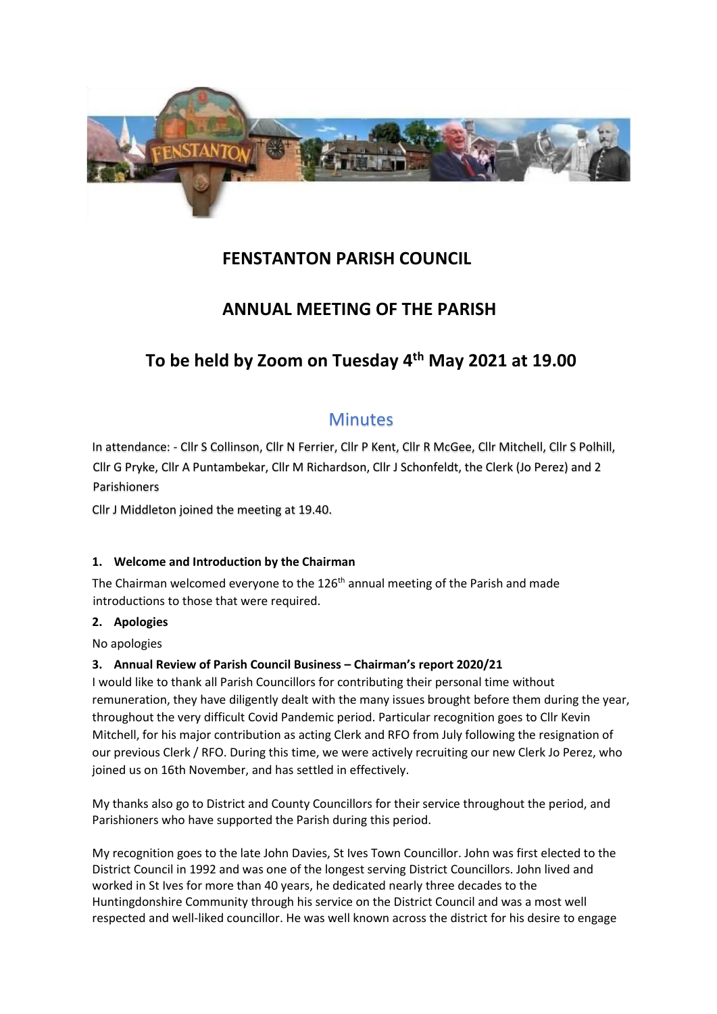

# **FENSTANTON PARISH COUNCIL**

# **ANNUAL MEETING OF THE PARISH**

# **To be held by Zoom on Tuesday 4th May 2021 at 19.00**

# **Minutes**

In attendance: - Cllr S Collinson, Cllr N Ferrier, Cllr P Kent, Cllr R McGee, Cllr Mitchell, Cllr S Polhill, Cllr G Pryke, Cllr A Puntambekar, Cllr M Richardson, Cllr J Schonfeldt, the Clerk (Jo Perez) and 2 Parishioners

Cllr J Middleton joined the meeting at 19.40.

# **1. Welcome and Introduction by the Chairman**

The Chairman welcomed everyone to the 126<sup>th</sup> annual meeting of the Parish and made introductions to those that were required.

#### **2. Apologies**

No apologies

# **3. Annual Review of Parish Council Business – Chairman's report 2020/21**

I would like to thank all Parish Councillors for contributing their personal time without remuneration, they have diligently dealt with the many issues brought before them during the year, throughout the very difficult Covid Pandemic period. Particular recognition goes to Cllr Kevin Mitchell, for his major contribution as acting Clerk and RFO from July following the resignation of our previous Clerk / RFO. During this time, we were actively recruiting our new Clerk Jo Perez, who joined us on 16th November, and has settled in effectively.

My thanks also go to District and County Councillors for their service throughout the period, and Parishioners who have supported the Parish during this period.

My recognition goes to the late John Davies, St Ives Town Councillor. John was first elected to the District Council in 1992 and was one of the longest serving District Councillors. John lived and worked in St Ives for more than 40 years, he dedicated nearly three decades to the Huntingdonshire Community through his service on the District Council and was a most well respected and well-liked councillor. He was well known across the district for his desire to engage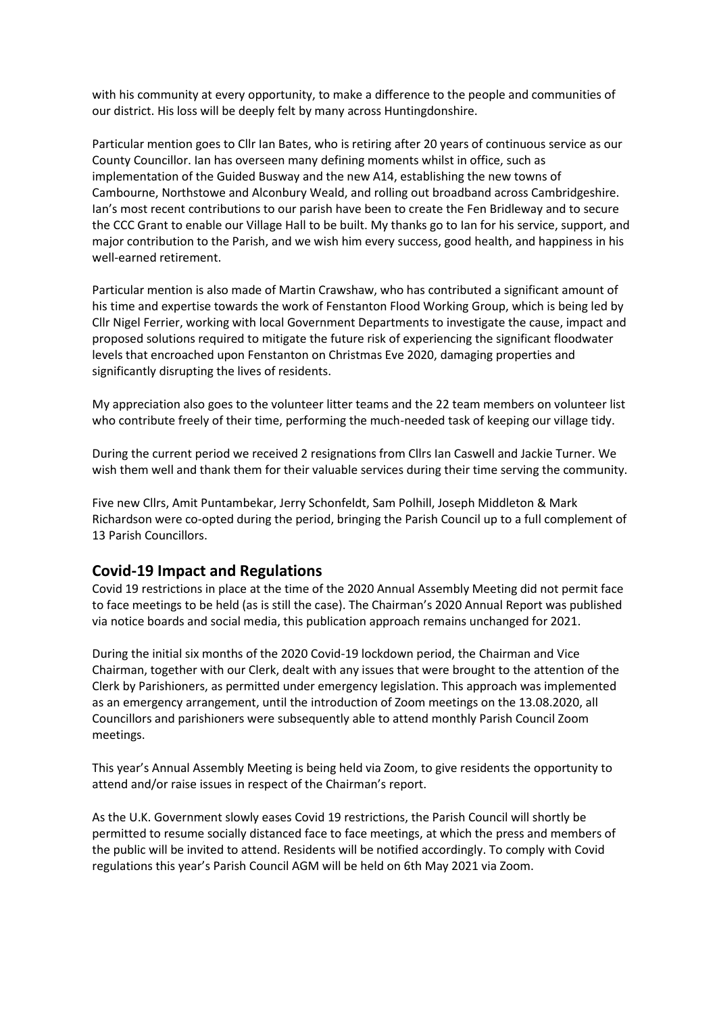with his community at every opportunity, to make a difference to the people and communities of our district. His loss will be deeply felt by many across Huntingdonshire.

Particular mention goes to Cllr Ian Bates, who is retiring after 20 years of continuous service as our County Councillor. Ian has overseen many defining moments whilst in office, such as implementation of the Guided Busway and the new A14, establishing the new towns of Cambourne, Northstowe and Alconbury Weald, and rolling out broadband across Cambridgeshire. Ian's most recent contributions to our parish have been to create the Fen Bridleway and to secure the CCC Grant to enable our Village Hall to be built. My thanks go to Ian for his service, support, and major contribution to the Parish, and we wish him every success, good health, and happiness in his well-earned retirement.

Particular mention is also made of Martin Crawshaw, who has contributed a significant amount of his time and expertise towards the work of Fenstanton Flood Working Group, which is being led by Cllr Nigel Ferrier, working with local Government Departments to investigate the cause, impact and proposed solutions required to mitigate the future risk of experiencing the significant floodwater levels that encroached upon Fenstanton on Christmas Eve 2020, damaging properties and significantly disrupting the lives of residents.

My appreciation also goes to the volunteer litter teams and the 22 team members on volunteer list who contribute freely of their time, performing the much-needed task of keeping our village tidy.

During the current period we received 2 resignations from Cllrs Ian Caswell and Jackie Turner. We wish them well and thank them for their valuable services during their time serving the community.

Five new Cllrs, Amit Puntambekar, Jerry Schonfeldt, Sam Polhill, Joseph Middleton & Mark Richardson were co-opted during the period, bringing the Parish Council up to a full complement of 13 Parish Councillors.

#### **Covid-19 Impact and Regulations**

Covid 19 restrictions in place at the time of the 2020 Annual Assembly Meeting did not permit face to face meetings to be held (as is still the case). The Chairman's 2020 Annual Report was published via notice boards and social media, this publication approach remains unchanged for 2021.

During the initial six months of the 2020 Covid-19 lockdown period, the Chairman and Vice Chairman, together with our Clerk, dealt with any issues that were brought to the attention of the Clerk by Parishioners, as permitted under emergency legislation. This approach was implemented as an emergency arrangement, until the introduction of Zoom meetings on the 13.08.2020, all Councillors and parishioners were subsequently able to attend monthly Parish Council Zoom meetings.

This year's Annual Assembly Meeting is being held via Zoom, to give residents the opportunity to attend and/or raise issues in respect of the Chairman's report.

As the U.K. Government slowly eases Covid 19 restrictions, the Parish Council will shortly be permitted to resume socially distanced face to face meetings, at which the press and members of the public will be invited to attend. Residents will be notified accordingly. To comply with Covid regulations this year's Parish Council AGM will be held on 6th May 2021 via Zoom.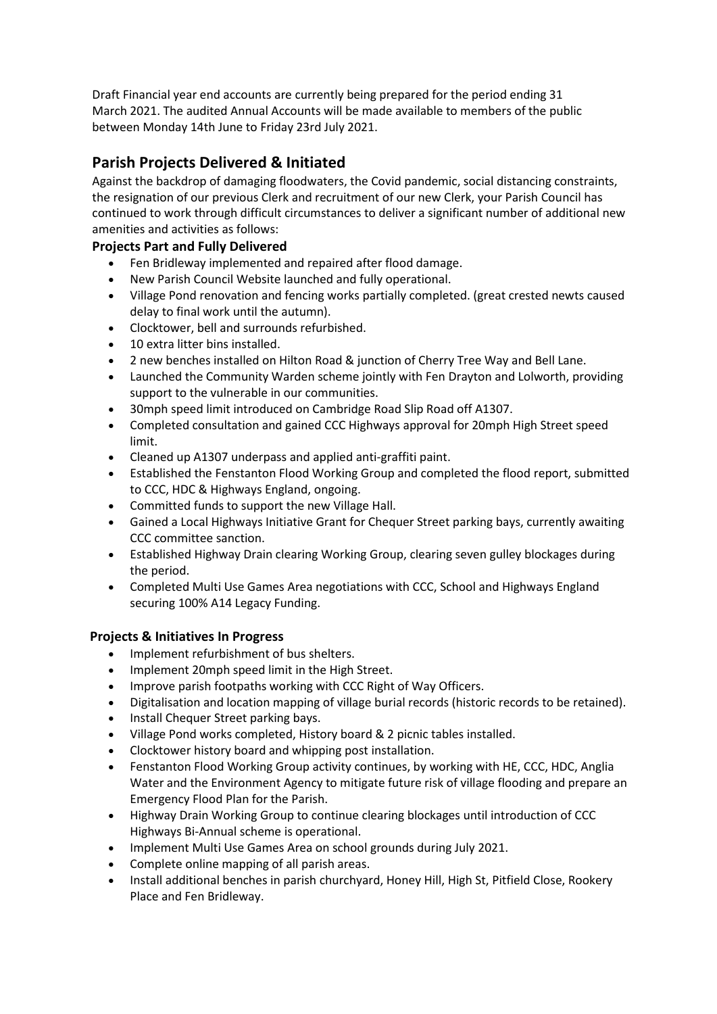Draft Financial year end accounts are currently being prepared for the period ending 31 March 2021. The audited Annual Accounts will be made available to members of the public between Monday 14th June to Friday 23rd July 2021.

# **Parish Projects Delivered & Initiated**

Against the backdrop of damaging floodwaters, the Covid pandemic, social distancing constraints, the resignation of our previous Clerk and recruitment of our new Clerk, your Parish Council has continued to work through difficult circumstances to deliver a significant number of additional new amenities and activities as follows:

# **Projects Part and Fully Delivered**

- Fen Bridleway implemented and repaired after flood damage.
- New Parish Council Website launched and fully operational.
- Village Pond renovation and fencing works partially completed. (great crested newts caused delay to final work until the autumn).
- Clocktower, bell and surrounds refurbished.
- 10 extra litter bins installed.
- 2 new benches installed on Hilton Road & junction of Cherry Tree Way and Bell Lane.
- Launched the Community Warden scheme jointly with Fen Drayton and Lolworth, providing support to the vulnerable in our communities.
- 30mph speed limit introduced on Cambridge Road Slip Road off A1307.
- Completed consultation and gained CCC Highways approval for 20mph High Street speed limit.
- Cleaned up A1307 underpass and applied anti-graffiti paint.
- Established the Fenstanton Flood Working Group and completed the flood report, submitted to CCC, HDC & Highways England, ongoing.
- Committed funds to support the new Village Hall.
- Gained a Local Highways Initiative Grant for Chequer Street parking bays, currently awaiting CCC committee sanction.
- Established Highway Drain clearing Working Group, clearing seven gulley blockages during the period.
- Completed Multi Use Games Area negotiations with CCC, School and Highways England securing 100% A14 Legacy Funding.

# **Projects & Initiatives In Progress**

- Implement refurbishment of bus shelters.
- Implement 20mph speed limit in the High Street.
- Improve parish footpaths working with CCC Right of Way Officers.
- Digitalisation and location mapping of village burial records (historic records to be retained).
- Install Chequer Street parking bays.
- Village Pond works completed, History board & 2 picnic tables installed.
- Clocktower history board and whipping post installation.
- Fenstanton Flood Working Group activity continues, by working with HE, CCC, HDC, Anglia Water and the Environment Agency to mitigate future risk of village flooding and prepare an Emergency Flood Plan for the Parish.
- Highway Drain Working Group to continue clearing blockages until introduction of CCC Highways Bi-Annual scheme is operational.
- Implement Multi Use Games Area on school grounds during July 2021.
- Complete online mapping of all parish areas.
- Install additional benches in parish churchyard, Honey Hill, High St, Pitfield Close, Rookery Place and Fen Bridleway.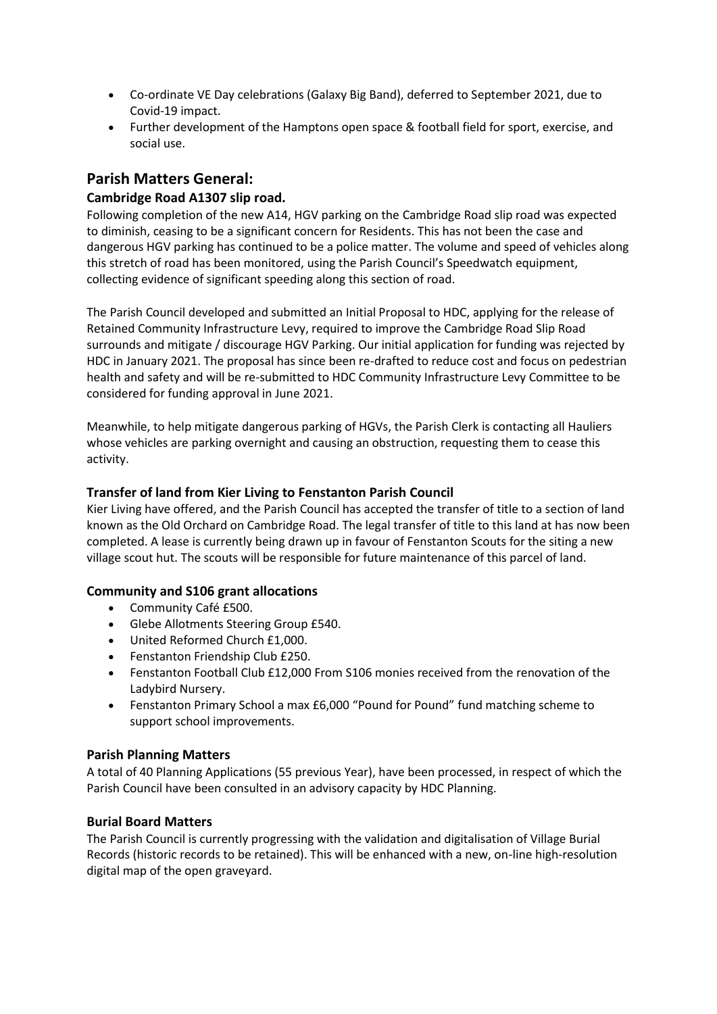- Co-ordinate VE Day celebrations (Galaxy Big Band), deferred to September 2021, due to Covid-19 impact.
- Further development of the Hamptons open space & football field for sport, exercise, and social use.

# **Parish Matters General:**

### **Cambridge Road A1307 slip road.**

Following completion of the new A14, HGV parking on the Cambridge Road slip road was expected to diminish, ceasing to be a significant concern for Residents. This has not been the case and dangerous HGV parking has continued to be a police matter. The volume and speed of vehicles along this stretch of road has been monitored, using the Parish Council's Speedwatch equipment, collecting evidence of significant speeding along this section of road.

The Parish Council developed and submitted an Initial Proposal to HDC, applying for the release of Retained Community Infrastructure Levy, required to improve the Cambridge Road Slip Road surrounds and mitigate / discourage HGV Parking. Our initial application for funding was rejected by HDC in January 2021. The proposal has since been re-drafted to reduce cost and focus on pedestrian health and safety and will be re-submitted to HDC Community Infrastructure Levy Committee to be considered for funding approval in June 2021.

Meanwhile, to help mitigate dangerous parking of HGVs, the Parish Clerk is contacting all Hauliers whose vehicles are parking overnight and causing an obstruction, requesting them to cease this activity.

#### **Transfer of land from Kier Living to Fenstanton Parish Council**

Kier Living have offered, and the Parish Council has accepted the transfer of title to a section of land known as the Old Orchard on Cambridge Road. The legal transfer of title to this land at has now been completed. A lease is currently being drawn up in favour of Fenstanton Scouts for the siting a new village scout hut. The scouts will be responsible for future maintenance of this parcel of land.

#### **Community and S106 grant allocations**

- Community Café £500.
- Glebe Allotments Steering Group £540.
- United Reformed Church £1,000.
- Fenstanton Friendship Club £250.
- Fenstanton Football Club £12,000 From S106 monies received from the renovation of the Ladybird Nursery.
- Fenstanton Primary School a max £6,000 "Pound for Pound" fund matching scheme to support school improvements.

#### **Parish Planning Matters**

A total of 40 Planning Applications (55 previous Year), have been processed, in respect of which the Parish Council have been consulted in an advisory capacity by HDC Planning.

#### **Burial Board Matters**

The Parish Council is currently progressing with the validation and digitalisation of Village Burial Records (historic records to be retained). This will be enhanced with a new, on-line high-resolution digital map of the open graveyard.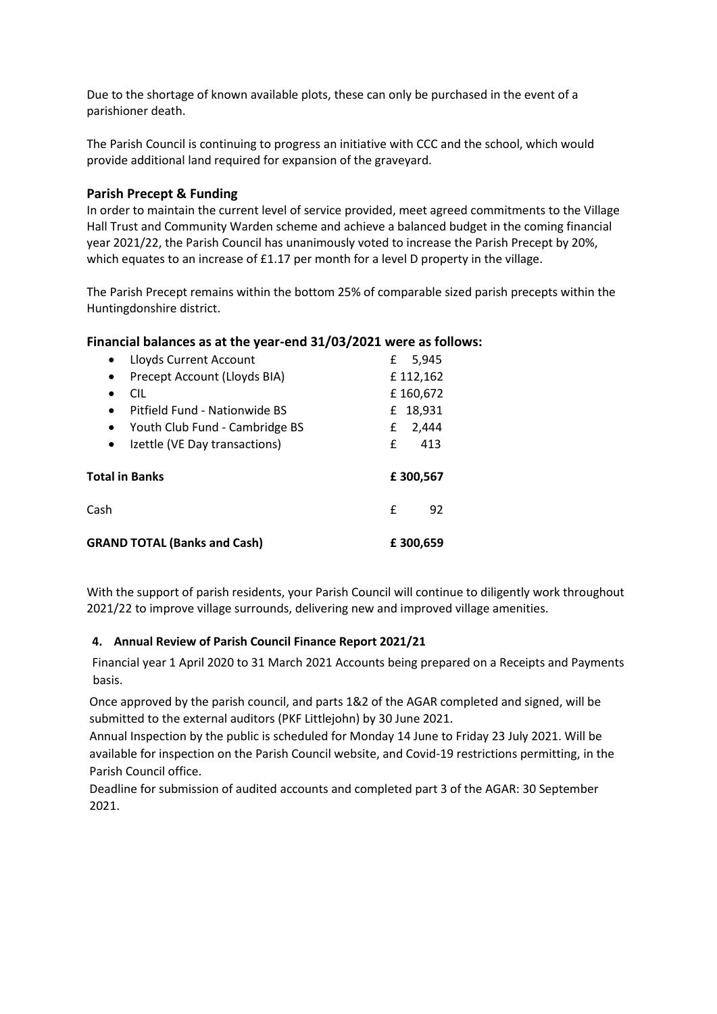Due to the shortage of known available plots, these can only be purchased in the event of a parishioner death.

The Parish Council is continuing to progress an initiative with CCC and the school, which would provide additional land required for expansion of the graveyard.

#### **Parish Precept & Funding**

In order to maintain the current level of service provided, meet agreed commitments to the Village Hall Trust and Community Warden scheme and achieve a balanced budget in the coming financial year 2021/22, the Parish Council has unanimously voted to increase the Parish Precept by 20%, which equates to an increase of £1.17 per month for a level D property in the village.

The Parish Precept remains within the bottom 25% of comparable sized parish precepts within the Huntingdonshire district.

#### **Financial balances as at the year-end 31/03/2021 were as follows:**

| Lloyds Current Account<br>$\bullet$<br>Precept Account (Lloyds BIA)<br>$\bullet$ | 5,945<br>£<br>£112,162 |
|----------------------------------------------------------------------------------|------------------------|
| CIL<br>$\bullet$                                                                 | £160,672               |
| Pitfield Fund - Nationwide BS<br>$\bullet$                                       | £ 18,931               |
| Youth Club Fund - Cambridge BS<br>$\bullet$                                      | £<br>2,444             |
| Izettle (VE Day transactions)<br>$\bullet$                                       | £<br>413               |
|                                                                                  |                        |
| Total in Banks                                                                   | £300,567               |
| Cash                                                                             | £<br>92                |

With the support of parish residents, your Parish Council will continue to diligently work throughout 2021/22 to improve village surrounds, delivering new and improved village amenities.

#### **4. Annual Review of Parish Council Finance Report 2021/21**

Financial year 1 April 2020 to 31 March 2021 Accounts being prepared on a Receipts and Payments basis.

Once approved by the parish council, and parts 1&2 of the AGAR completed and signed, will be submitted to the external auditors (PKF Littlejohn) by 30 June 2021.

Annual Inspection by the public is scheduled for Monday 14 June to Friday 23 July 2021. Will be available for inspection on the Parish Council website, and Covid-19 restrictions permitting, in the Parish Council office.

Deadline for submission of audited accounts and completed part 3 of the AGAR: 30 September 2021.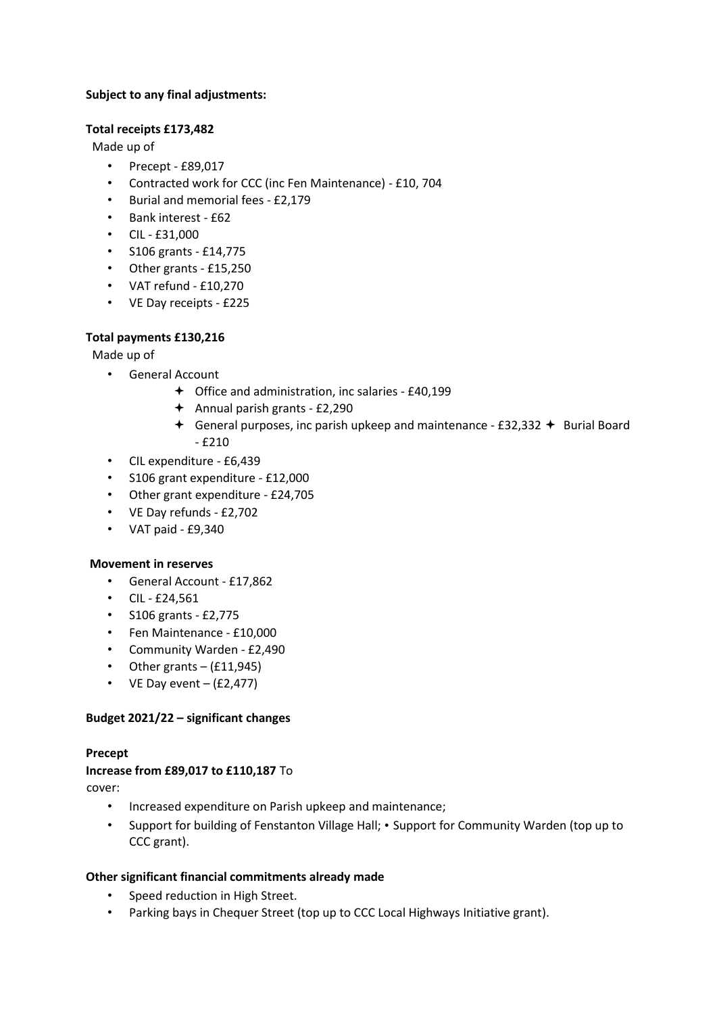#### **Subject to any final adjustments:**

#### **Total receipts £173,482**

Made up of

- Precept £89,017
- Contracted work for CCC (inc Fen Maintenance) £10, 704
- Burial and memorial fees £2,179
- Bank interest £62
- CIL £31,000
- S106 grants £14,775
- Other grants £15,250
- VAT refund £10,270
- VE Day receipts £225

### **Total payments £130,216**

Made up of

- General Account
	- Office and administration, inc salaries £40,199
	- $\div$  Annual parish grants £2,290
	- General purposes, inc parish upkeep and maintenance £32,332  $\div$  Burial Board - £210
- CIL expenditure £6,439
- S106 grant expenditure £12,000
- Other grant expenditure £24,705
- VE Day refunds £2,702
- VAT paid £9,340

#### **Movement in reserves**

- General Account £17,862
- CIL £24,561
- S106 grants £2,775
- Fen Maintenance £10,000
- Community Warden £2,490
- Other grants  $-$  (£11,945)
- VE Day event  $-(E2, 477)$

#### **Budget 2021/22 – significant changes**

#### **Precept**

#### **Increase from £89,017 to £110,187** To

cover:

- Increased expenditure on Parish upkeep and maintenance;
- Support for building of Fenstanton Village Hall; Support for Community Warden (top up to CCC grant).

#### **Other significant financial commitments already made**

- Speed reduction in High Street.
- Parking bays in Chequer Street (top up to CCC Local Highways Initiative grant).